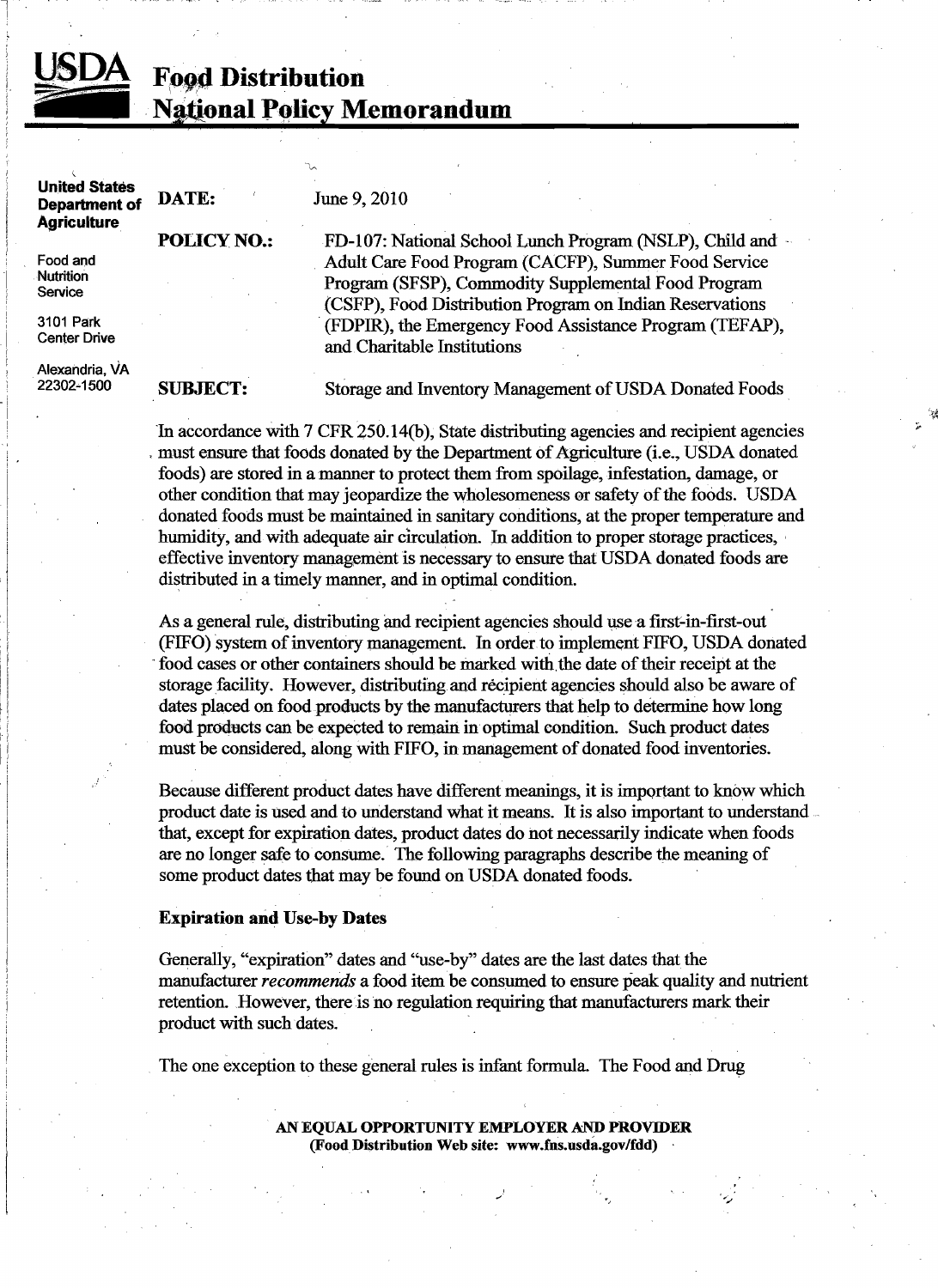1

# **Food Distribution** National Policy Memorandum

| <b>United States</b><br><b>Department of</b><br><b>Agriculture</b> | DATE:                                                                                                                                                                         | June 9, 2010                                                                                                                                                            |
|--------------------------------------------------------------------|-------------------------------------------------------------------------------------------------------------------------------------------------------------------------------|-------------------------------------------------------------------------------------------------------------------------------------------------------------------------|
|                                                                    | <b>POLICY NO.:</b>                                                                                                                                                            | FD-107: National School Lunch Program (NSLP), Child and                                                                                                                 |
| Food and<br><b>Nutrition</b><br>Service                            |                                                                                                                                                                               | Adult Care Food Program (CACFP), Summer Food Service<br>Program (SFSP), Commodity Supplemental Food Program<br>(CSFP), Food Distribution Program on Indian Reservations |
| 3101 Park<br><b>Center Drive</b>                                   |                                                                                                                                                                               | (FDPIR), the Emergency Food Assistance Program (TEFAP),<br>and Charitable Institutions                                                                                  |
| Alexandria, VA<br>22302-1500                                       | <b>SUBJECT:</b>                                                                                                                                                               | Storage and Inventory Management of USDA Donated Foods                                                                                                                  |
|                                                                    | In accordance with 7 CFR 250.14(b), State distributing agencies and recipient agencies<br>must ensure that foods donated by the Department of Agriculture (i.e., USDA donated |                                                                                                                                                                         |

foods) are stored in a manner to protect them from spoilage, infestation, damage, or other condition that may jeopardize the wholesomeness ar safety ofthe foods. USDA donated foods must be maintained in sanitary conditions, at the proper temperature and humidity, and with adequate air circulation. In addition to proper storage practices, effective inventory management is necessary to ensure that USDA donated foods are distributed in a timely manner, and in optimal condition.

L

As a general rule, distributing and recipient agencies should use a first-in-first-out (FIFO) system ofinventory management. In order to implement FIFO, USDA donated food cases or other containers should be marked with the date of their receipt at the storage facility. However, distributing and recipient agencies should also be aware of dates placed on food products by the manufacturers that help to determine how long food products can be expected to remain in optimal condition. Such product dates must be considered, along with FIFO, in management of donated food inventories.

Because different product dates have different meanings, it is important to know which product date is used and to understand what it means. It is also important to understand that, except for expiration dates, product dates do not necessarily indicate when foods are no longer safe to consume.' The following paragraphs describe the meaning of some product dates that may be found on USDA donated foods.

## Expiration and Use-by Dates

Generally, "expiration" dates and "use-by" dates are the last dates that the manufacturer *recommends* a food item be consumed to ensure peak quality and nutrient retention. However, there is no regulation requiring that manufacturers mark their product with such dates.

The one exception to these general rules is infant formula. The Food and Drug

AN EQUAL OPPORTUNITY EMPLOYER AND PROVIDER (FoodDistribution Web site: www.fns.usda.gov/fdd)

'"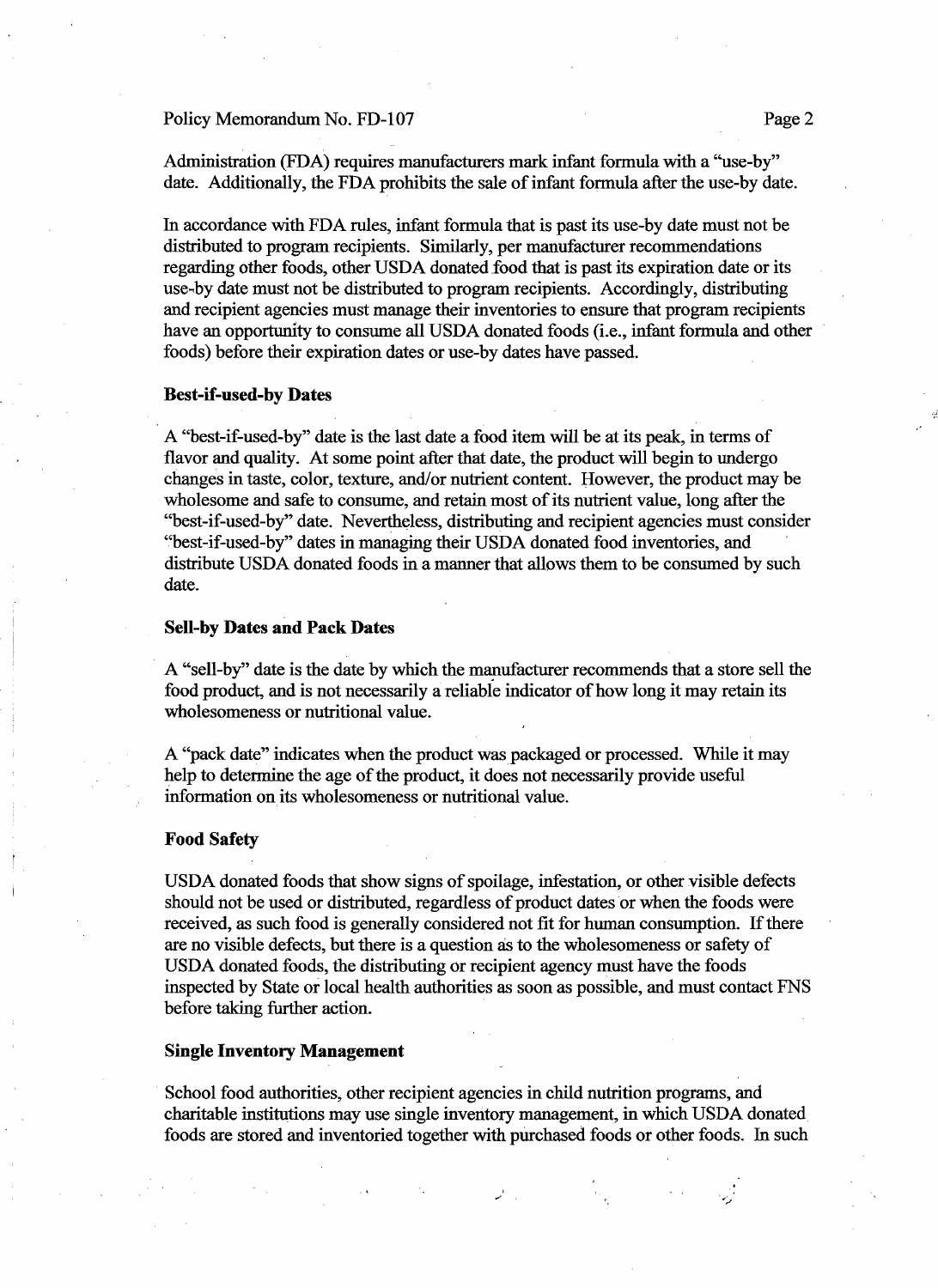#### Policy Memorandum No. FD-107 Page 2

Administration (FDA) requires manufacturers mark infant formula with a '"use-by" date. Additionally, the FDA prohibits the sale of infant formula after the use-by date.

In accordance with FDA rules, infant formula that is past its use-by date must not be distributed to program recipients. Similarly, per manufacturer recommendations regarding other foods, other USDA donated food that is past its expiration date or its use-by date must not be distributed to program recipients. Accordingly, distributing and recipient agencies must manage their inventories to ensure that program recipients have an opportunity to consume all USDA donated foods (i.e., infant formula and other foods) before their expiration dates or use-by dates have passed.

#### **Best-if-used-by Dates**

A "best-if-used-by" date is the last date a food item will be at its peak, in terms of flavor and quality. At some point after that date, the product will begin to undergo changes in taste, color, texture, and/or nutrient content. However, the product may be wholesome and safe to consume, and retain most of its nutrient value, long after the "best-if-used-by" date. Nevertheless, distributing and recipient agencies must consider "best-if-used-by" dates in managing their USDA donated food inventories, and ' distribute USDA donated foods in a manner that allows them to be consumed by such date.

## **Sell-by Dates and Pack Dates**

. A "sell-by" date is the date by which the manufacturer recommends that a store sell the food product, and is not necessarily a reliable indicator of how long it may retain its wholesomeness or nutritional value.

A "pack date" indicates when the product was packaged or processed. While it may help to determine the age of the product, it does not necessarily provide useful information on its wholesomeness or nutritional value.

#### **Food Safety**

USDA donated foods that show signs of spoilage, infestation, or other visible defects should not be used or distributed, regardless of product dates or when the foods were received, as such food is generally considered not fit for human consumption. If there are no visible defects; but there is a question as to the wholesomeness or safety of USDA donated foods, the distributing or recipient agency must have the foods inspected by State or local health authorities as soon as possible, and must contact FNS before taking further action.

## **Single Inventory Management**

School food authorities, other recipient agencies in child nutrition programs, and charitable institutions may use single inventory management, in which USDA donated foods are stored and inventoried together with purchased foods or other foods. In such